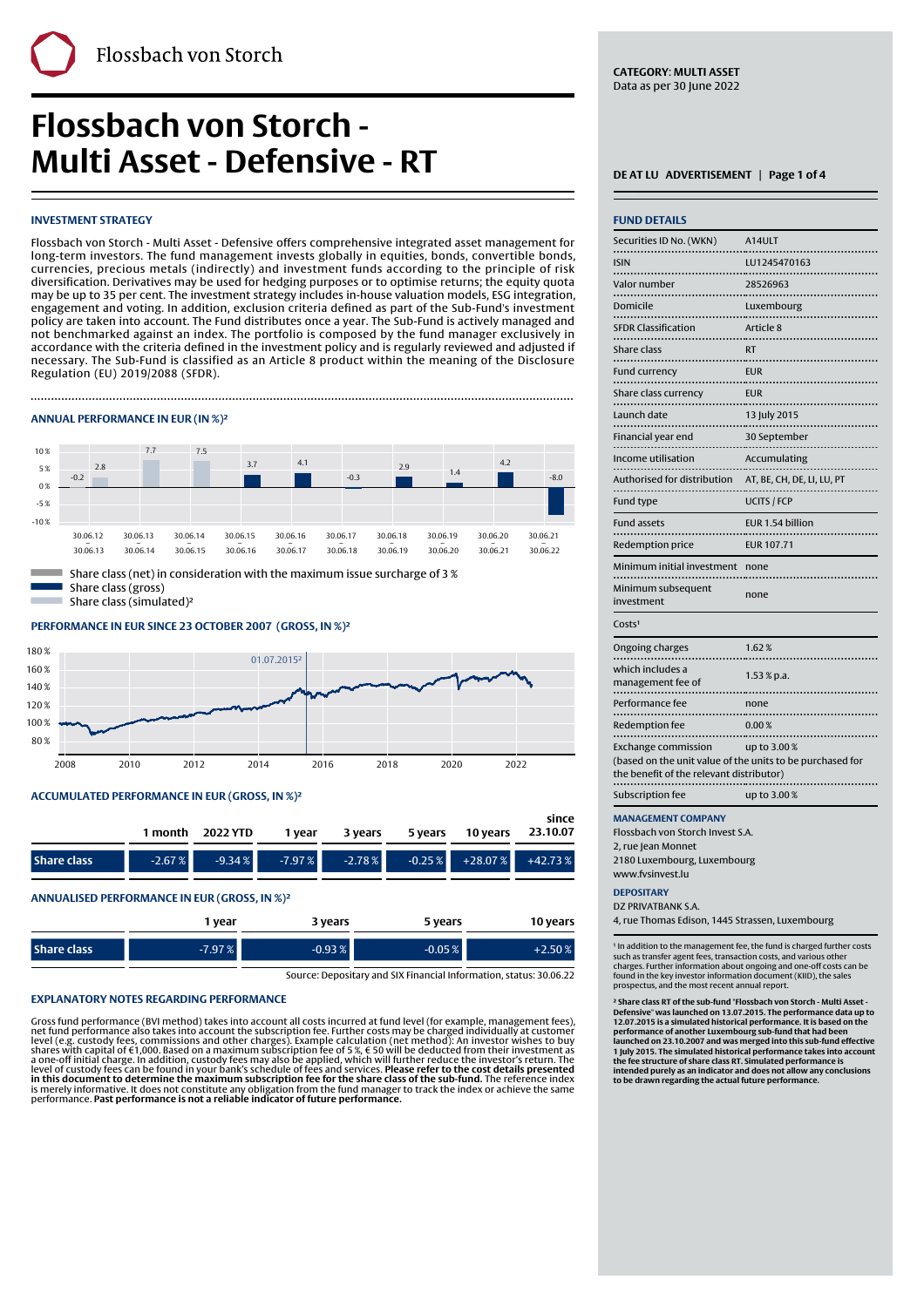**Flossbach von Storch - Multi Asset - Defensive - RT** 

# **INVESTMENT STRATEGY**

Flossbach von Storch - Multi Asset - Defensive offers comprehensive integrated asset management for long-term investors. The fund management invests globally in equities, bonds, convertible bonds, currencies, precious metals (indirectly) and investment funds according to the principle of risk diversification. Derivatives may be used for hedging purposes or to optimise returns; the equity quota may be up to 35 per cent. The investment strategy includes in-house valuation models, ESG integration, engagement and voting. In addition, exclusion criteria defined as part of the Sub-Fund's investment policy are taken into account. The Fund distributes once a year. The Sub-Fund is actively managed and not benchmarked against an index. The portfolio is composed by the fund manager exclusively in accordance with the criteria defined in the investment policy and is regularly reviewed and adjusted if necessary. The Sub-Fund is classified as an Article 8 product within the meaning of the Disclosure Regulation (EU) 2019/2088 (SFDR).

Finally, the contract of the contract of the contract of the contract of the contract of the contract of the c

# **ANNUAL PERFORMANCE IN EUR (IN %)²**



Share class (net) in consideration with the maximum issue surcharge of 3 % Share class (gross) Share class (simulated)²

# **PERFORMANCE IN EUR SINCE 23 OCTOBER 2007' (GROSS, IN %)²**



#### **ACCUMULATED PERFORMANCE IN EUR (GROSS, IN %)²**

|                                                 |          | 1 month 2022 YTD                                              | 1 vear | 3 years |  | since |
|-------------------------------------------------|----------|---------------------------------------------------------------|--------|---------|--|-------|
| <b>Share class</b>                              | $-2.67%$ | $-9.34\%$ $-7.97\%$ $-2.78\%$ $-0.25\%$ $+28.07\%$ $+42.73\%$ |        |         |  |       |
| ANIMIALICES SESEGRANIANICE IN EUR LESGOC INIQUE |          |                                                               |        |         |  |       |

**ANNUALISED PERFORMANCE IN EUR (GROSS, IN %)²**

|                    | 1 year   | 3 years   | 5 years  | 10 years  |
|--------------------|----------|-----------|----------|-----------|
| <b>Share class</b> | $-7.97%$ | $-0.93\%$ | $-0.05%$ | $+2.50\%$ |

Source: Depositary and SIX Financial Information, status: 30.06.22

#### **EXPLANATORY NOTES REGARDING PERFORMANCE**

Gross fund performance (BVI method) takes into account all costs incurred at fund level (for example, management fees),<br>net fund performance also takes into account the subscription fee. Further costs may be charged indiv

**CATEGORY**: **MULTI ASSET** Data as per 30 June 2022

| <b>FUND DETAILS</b>                                                                                                                 |                            |
|-------------------------------------------------------------------------------------------------------------------------------------|----------------------------|
| Securities ID No. (WKN)                                                                                                             | A14ULT                     |
| <b>ISIN</b>                                                                                                                         | LU1245470163               |
| <br>Valor number<br>.                                                                                                               | 28526963                   |
| Domicile<br>.                                                                                                                       | Luxembourg                 |
| <b>SFDR Classification</b>                                                                                                          | Article 8                  |
| <b>Share class</b>                                                                                                                  | <b>RT</b>                  |
| <b>Fund currency</b>                                                                                                                | <b>EUR</b>                 |
| Share class currency                                                                                                                | <b>EUR</b>                 |
| .<br>Launch date                                                                                                                    | 13 July 2015               |
| Financial year end                                                                                                                  | 30 September               |
| Income utilisation                                                                                                                  | Accumulating               |
| Authorised for distribution                                                                                                         | AT, BE, CH, DE, LI, LU, PT |
| Fund type                                                                                                                           | <b>UCITS / FCP</b>         |
| <b>Fund assets</b>                                                                                                                  | EUR 1.54 billion           |
| Redemption price                                                                                                                    | <b>EUR 107.71</b>          |
| Minimum initial investment                                                                                                          | none                       |
| Minimum subsequent<br>investment                                                                                                    | none                       |
| Costs <sup>1</sup>                                                                                                                  |                            |
| Ongoing charges                                                                                                                     | 1.62%                      |
| which includes a<br>management fee of<br>. <del>.</del>                                                                             | $1.53 \times p.a.$         |
| Performance fee<br>                                                                                                                 | none                       |
| Redemption fee                                                                                                                      | 0.00%                      |
| <b>Exchange commission</b><br>(based on the unit value of the units to be purchased for<br>the benefit of the relevant distributor) | up to 3.00%                |
| Subscription fee                                                                                                                    | up to 3.00%                |
| <b>MANAGEMENT COMPANY</b>                                                                                                           |                            |

Flossbach von Storch Invest S.A.

2, rue Jean Monnet

2180 Luxembourg, Luxembourg www.fvsinvest.lu

## **DEPOSITARY**

DZ PRIVATRANK S.A.

4, rue Thomas Edison, 1445 Strassen, Luxembourg

' In addition to the management fee, the fund is charged further costs<br>such as transfer agent fees, transaction costs, and various other<br>charges. Further information about ongoing and one-off costs can be<br>found in the key prospectus, and the most recent annual report.

**² Share class RT of the sub-fund "Flossbach von Storch - Multi Asset - Defensive" was launched on 13.07.2015. The performance data up to 12.07.2015 is a simulated historical performance. It is based on the performance of another Luxembourg sub-fund that had been** launched on 23.10.2007 and was merged into this sub-fund effective<br>1 July 2015. The simulated historical performance takes into account<br>the fee structure of share class RT. Simulated performance is **intended purely as an indicator and does not allow any conclusions to be drawn regarding the actual future performance.**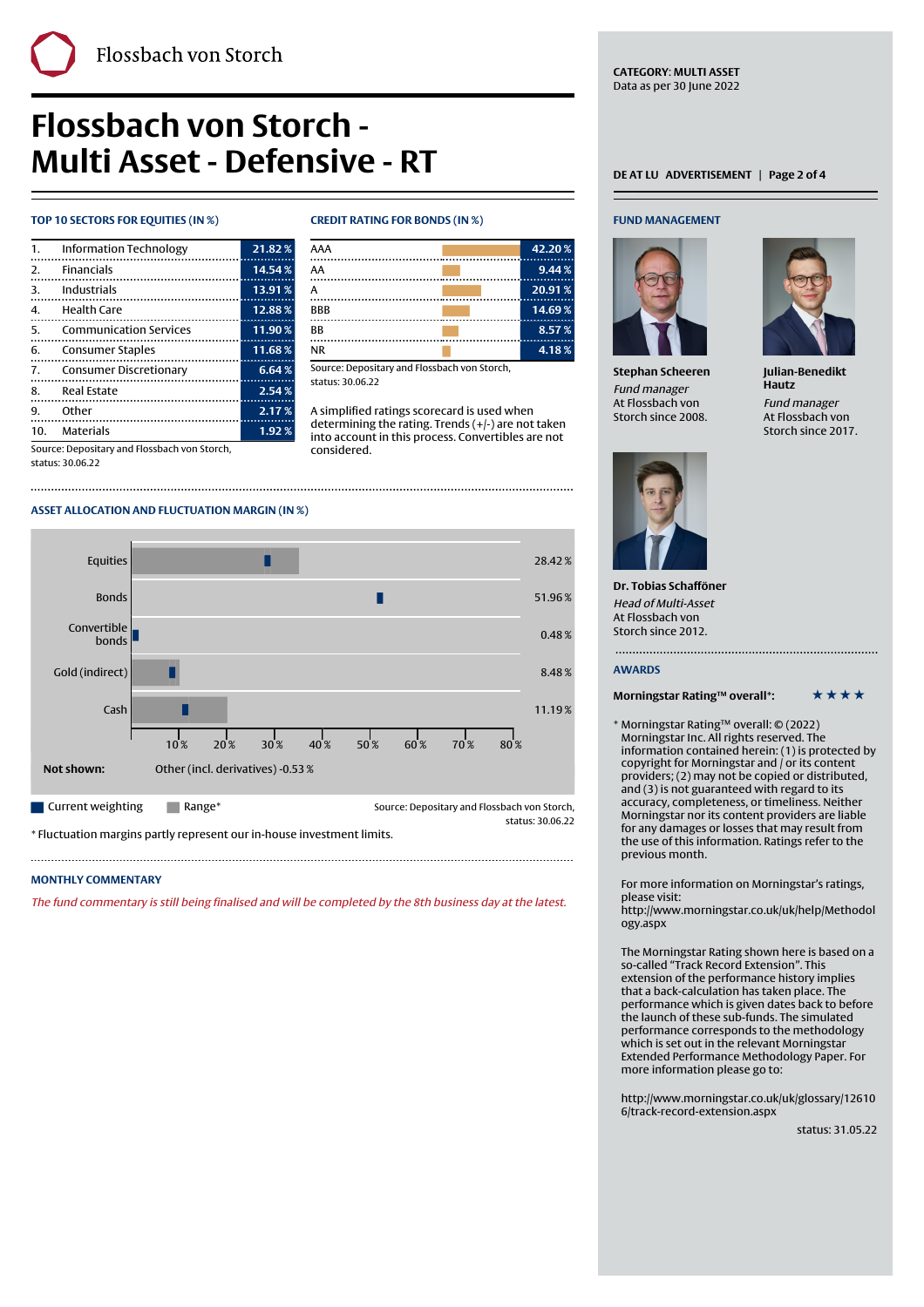# **Flossbach von Storch - Multi Asset - Defensive - RT**

# **TOP 10 SECTORS FOR EQUITIES (IN %) CREDIT RATING FOR BONDS (IN %)**

| $\mathbf{1}$ . | <b>Information Technology</b> | 21.82% |
|----------------|-------------------------------|--------|
|                | 2. Financials                 | 14.54% |
| 3.             | Industrials                   | 13.91% |
| 4.             | Health Care                   | 12.88% |
| 5.             | <b>Communication Services</b> | 11.90% |
| 6.             | Consumer Staples              | 11.68% |
| 7.             | <b>Consumer Discretionary</b> | 6.64%  |
| 8.             | <b>Real Estate</b>            | 2.54%  |
| 9.             | Other                         | 2.17%  |
| 10.            | Materials                     | 1.92%  |

Finally, the contract of the contract of the contract of the contract of the contract of the contract of the c

| AAA        | 42.20% |
|------------|--------|
| AA         | 9.44%  |
| А          | 20.91% |
| <b>BBB</b> | 14.69% |
| BB         | 8.57%  |
| <b>NR</b>  | 4.18%  |

Source: Depositary and Flossbach von Storch, status: 30.06.22

A simplified ratings scorecard is used when determining the rating. Trends (+/-) are not taken into account in this process. Convertibles are not considered.

Source: Depositary and Flossbach von Storch, status: 30.06.22

# **ASSET ALLOCATION AND FLUCTUATION MARGIN (IN %)**



\* Fluctuation margins partly represent our in-house investment limits.

# **MONTHLY COMMENTARY**

The fund commentary is still being finalised and will be completed by the 8th business day at the latest.

**CATEGORY**: **MULTI ASSET** Data as per 30 June 2022

## **FUND MANAGEMENT**



**Stephan Scheeren** Fund manager At Flossbach von Storch since 2008.



**Julian-Benedikt Hautz** Fund manager At Flossbach von Storch since 2017.



**Dr. Tobias Schafföner** Head of Multi-Asset At Flossbach von Storch since 2012.

# **AWARDS**

**Morningstar Rating™ overall\*:** \* \* \* \* \*

\* Morningstar Rating™ overall: © (2022) Morningstar Inc. All rights reserved. The information contained herein: (1) is protected by copyright for Morningstar and / or its content providers; (2) may not be copied or distributed, and (3) is not guaranteed with regard to its accuracy, completeness, or timeliness. Neither Morningstar nor its content providers are liable for any damages or losses that may result from the use of this information. Ratings refer to the previous month.

For more information on Morningstar's ratings, please visit:

[http://www.morningstar.co.uk/uk/help/Methodol](http://www.morningstar.co.uk/uk/help/Methodology.aspx) [ogy.aspx](http://www.morningstar.co.uk/uk/help/Methodology.aspx)

The Morningstar Rating shown here is based on a so-called "Track Record Extension". This extension of the performance history implies that a back-calculation has taken place. The performance which is given dates back to before the launch of these sub-funds. The simulated performance corresponds to the methodology which is set out in the relevant Morningstar Extended Performance Methodology Paper. For more information please go to:

[http://www.morningstar.co.uk/uk/glossary/12610](http://www.morningstar.co.uk/uk/glossary/126106/track-record-extension.aspx) [6/track-record-extension.aspx](http://www.morningstar.co.uk/uk/glossary/126106/track-record-extension.aspx)

status: 31.05.22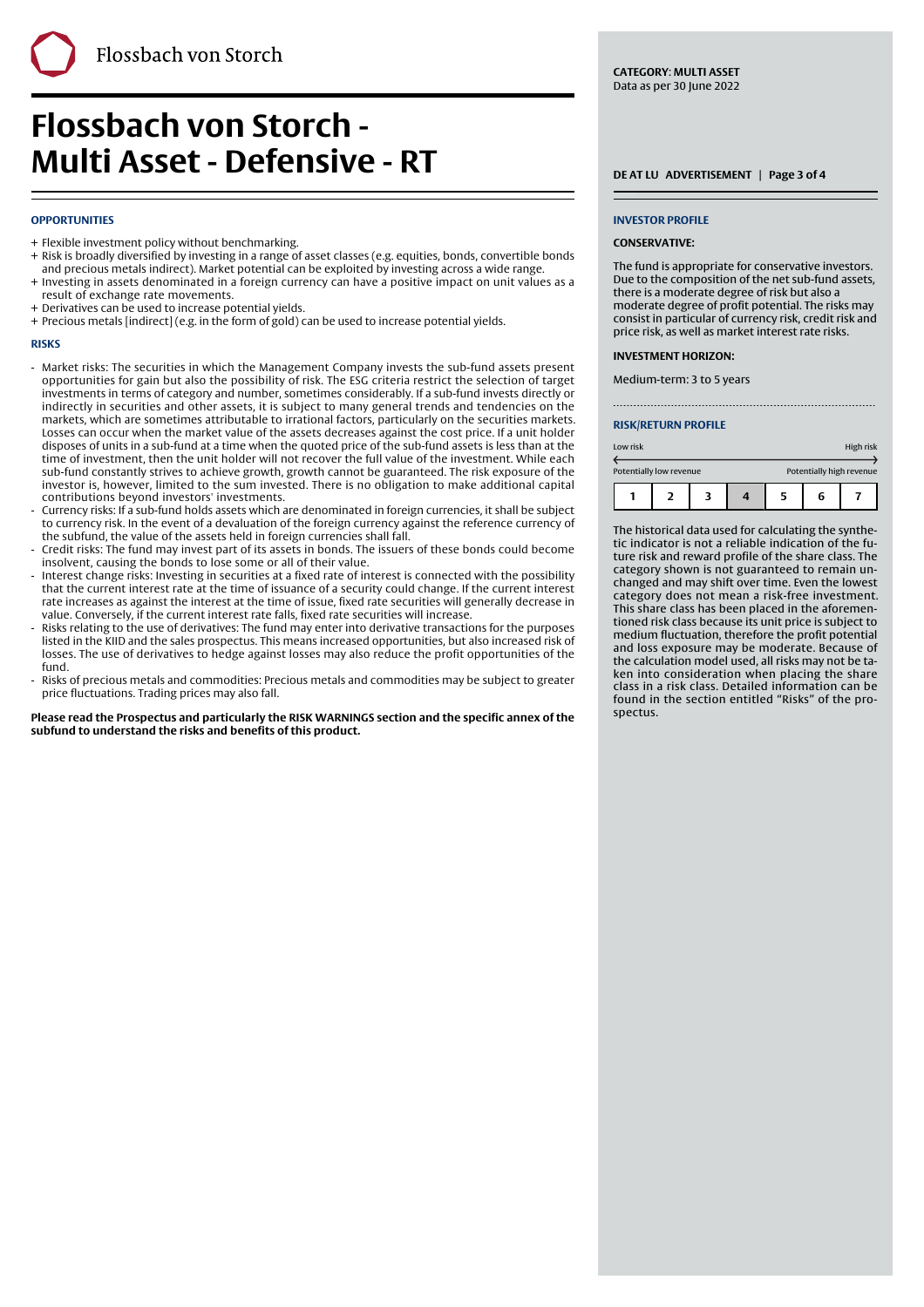# **OPPORTUNITIES**

- + Flexible investment policy without benchmarking.
- + Risk is broadly diversified by investing in a range of asset classes (e.g. equities, bonds, convertible bonds and precious metals indirect). Market potential can be exploited by investing across a wide range.

Finally, the contract of the contract of the contract of the contract of the contract of the contract of the c

- + Investing in assets denominated in a foreign currency can have a positive impact on unit values as a result of exchange rate movements.
- + Derivatives can be used to increase potential yields.
- + Precious metals [indirect] (e.g. in the form of gold) can be used to increase potential yields.

### **RISKS**

- Market risks: The securities in which the Management Company invests the sub-fund assets present opportunities for gain but also the possibility of risk. The ESG criteria restrict the selection of target investments in terms of category and number, sometimes considerably. If a sub-fund invests directly or indirectly in securities and other assets, it is subject to many general trends and tendencies on the markets, which are sometimes attributable to irrational factors, particularly on the securities markets. Losses can occur when the market value of the assets decreases against the cost price. If a unit holder disposes of units in a sub-fund at a time when the quoted price of the sub-fund assets is less than at the time of investment, then the unit holder will not recover the full value of the investment. While each sub-fund constantly strives to achieve growth, growth cannot be guaranteed. The risk exposure of the investor is, however, limited to the sum invested. There is no obligation to make additional capital contributions beyond investors' investments. -
- Currency risks: If a sub-fund holds assets which are denominated in foreign currencies, it shall be subject to currency risk. In the event of a devaluation of the foreign currency against the reference currency of the subfund, the value of the assets held in foreign currencies shall fall. -
- Credit risks: The fund may invest part of its assets in bonds. The issuers of these bonds could become insolvent, causing the bonds to lose some or all of their value. -
- Interest change risks: Investing in securities at a fixed rate of interest is connected with the possibility that the current interest rate at the time of issuance of a security could change. If the current interest rate increases as against the interest at the time of issue, fixed rate securities will generally decrease in value. Conversely, if the current interest rate falls, fixed rate securities will increase. -
- Risks relating to the use of derivatives: The fund may enter into derivative transactions for the purposes listed in the KIID and the sales prospectus. This means increased opportunities, but also increased risk of losses. The use of derivatives to hedge against losses may also reduce the profit opportunities of the fund. -
- Risks of precious metals and commodities: Precious metals and commodities may be subject to greater price fluctuations. Trading prices may also fall. -

**Please read the Prospectus and particularly the RISK WARNINGS section and the specific annex of the subfund to understand the risks and benefits of this product.**

**CATEGORY**: **MULTI ASSET** Data as per 30 June 2022

### **INVESTOR PROFILE**

### **CONSERVATIVE:**

The fund is appropriate for conservative investors. Due to the composition of the net sub-fund assets, there is a moderate degree of risk but also a moderate degree of profit potential. The risks may consist in particular of currency risk, credit risk and price risk, as well as market interest rate risks.

### **INVESTMENT HORIZON:**

Medium-term: 3 to 5 years

### **RISK/RETURN PROFILE**

| Low risk                |  |  |  |   |                          | High risk |
|-------------------------|--|--|--|---|--------------------------|-----------|
| Potentially low revenue |  |  |  |   | Potentially high revenue |           |
|                         |  |  |  | 5 | 6                        |           |

The historical data used for calculating the synthetic indicator is not a reliable indication of the future risk and reward profile of the share class. The category shown is not guaranteed to remain unchanged and may shift over time. Even the lowest category does not mean a risk-free investment. This share class has been placed in the aforementioned risk class because its unit price is subject to medium fluctuation, therefore the profit potential and loss exposure may be moderate. Because of the calculation model used, all risks may not be taken into consideration when placing the share class in a risk class. Detailed information can be found in the section entitled "Risks" of the prospectus.